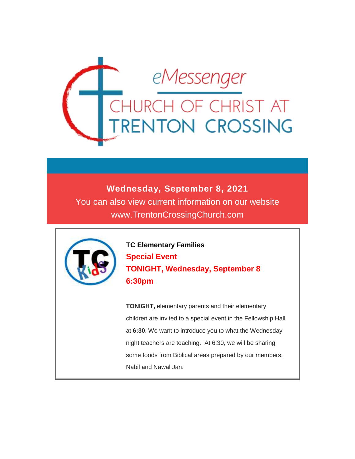

### **Wednesday, September 8, 2021**

You can also view current information on our website www.TrentonCrossingChurch.com



**TC Elementary Families Special Event TONIGHT, Wednesday, September 8 6:30pm**

**TONIGHT,** elementary parents and their elementary children are invited to a special event in the Fellowship Hall at **6:30**. We want to introduce you to what the Wednesday night teachers are teaching. At 6:30, we will be sharing some foods from Biblical areas prepared by our members, Nabil and Nawal Jan.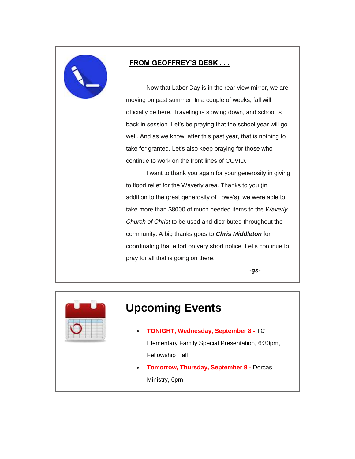

### **FROM GEOFFREY'S DESK . . .**

 Now that Labor Day is in the rear view mirror, we are moving on past summer. In a couple of weeks, fall will officially be here. Traveling is slowing down, and school is back in session. Let's be praying that the school year will go well. And as we know, after this past year, that is nothing to take for granted. Let's also keep praying for those who continue to work on the front lines of COVID.

 I want to thank you again for your generosity in giving to flood relief for the Waverly area. Thanks to you (in addition to the great generosity of Lowe's), we were able to take more than \$8000 of much needed items to the *Waverly Church of Christ* to be used and distributed throughout the community. A big thanks goes to *Chris Middleton* for coordinating that effort on very short notice. Let's continue to pray for all that is going on there.

*-gs-*



# **Upcoming Events**

- **TONIGHT, Wednesday, September 8 -** TC Elementary Family Special Presentation, 6:30pm, Fellowship Hall
- **Tomorrow, Thursday, September 9 -** Dorcas Ministry, 6pm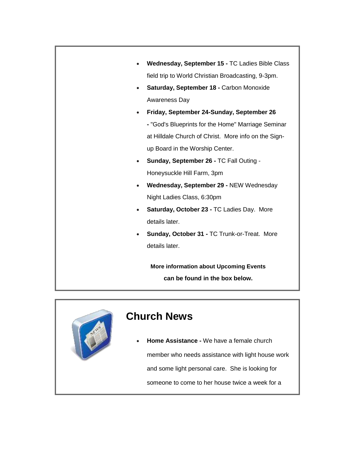|           | Wednesday, September 15 - TC Ladies Bible Class      |
|-----------|------------------------------------------------------|
|           | field trip to World Christian Broadcasting, 9-3pm.   |
| $\bullet$ | Saturday, September 18 - Carbon Monoxide             |
|           | <b>Awareness Day</b>                                 |
| $\bullet$ | Friday, September 24-Sunday, September 26            |
|           | - "God's Blueprints for the Home" Marriage Seminar   |
|           | at Hilldale Church of Christ. More info on the Sign- |
|           | up Board in the Worship Center.                      |
| $\bullet$ | Sunday, September 26 - TC Fall Outing -              |
|           | Honeysuckle Hill Farm, 3pm                           |
| $\bullet$ | Wednesday, September 29 - NEW Wednesday              |
|           | Night Ladies Class, 6:30pm                           |
| $\bullet$ | Saturday, October 23 - TC Ladies Day. More           |
|           | details later.                                       |
| $\bullet$ | Sunday, October 31 - TC Trunk-or-Treat. More         |
|           | details later.                                       |
|           | <b>More information about Upcoming Events</b>        |
|           | can be found in the box below.                       |
|           |                                                      |



# **Church News**

 **Home Assistance -** We have a female church member who needs assistance with light house work and some light personal care. She is looking for someone to come to her house twice a week for a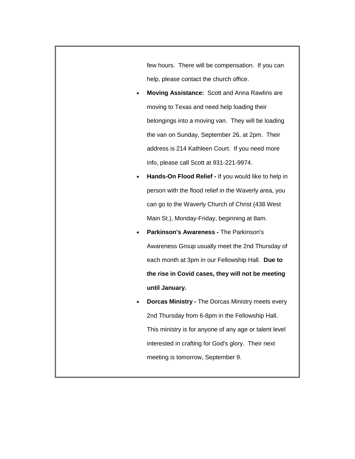few hours. There will be compensation. If you can help, please contact the church office.

- **Moving Assistance:** Scott and Anna Rawlins are moving to Texas and need help loading their belongings into a moving van. They will be loading the van on Sunday, September 26, at 2pm. Their address is 214 Kathleen Court. If you need more info, please call Scott at 931-221-9974.
- **Hands-On Flood Relief -** If you would like to help in person with the flood relief in the Waverly area, you can go to the Waverly Church of Christ (438 West Main St.), Monday-Friday, beginning at 8am.
- **Parkinson's Awareness -** The Parkinson's Awareness Group usually meet the 2nd Thursday of each month at 3pm in our Fellowship Hall. **Due to the rise in Covid cases, they will not be meeting until January.**
- **Dorcas Ministry -** The Dorcas Ministry meets every 2nd Thursday from 6-8pm in the Fellowship Hall. This ministry is for anyone of any age or talent level interested in crafting for God's glory. Their next meeting is tomorrow, September 9.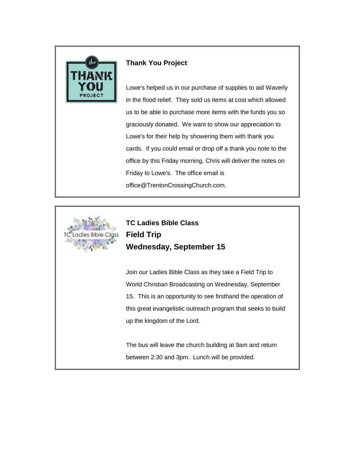

### **Thank You Project**

Lowe's helped us in our purchase of supplies to aid Waverly in the flood relief. They sold us items at cost which allowed us to be able to purchase more items with the funds you so graciously donated. We want to show our appreciation to Lowe's for their help by showering them with thank you cards. If you could email or drop off a thank you note to the office by this Friday morning. Chris will deliver the notes on Friday to Lowe's. The office email is office@TrentonCrossingChurch.com.



## **TC Ladies Bible Class Field Trip Wednesday, September 15**

Join our Ladies Bible Class as they take a Field Trip to World Christian Broadcasting on Wednesday, September 15. This is an opportunity to see firsthand the operation of this great evangelistic outreach program that seeks to build up the kingdom of the Lord.

The bus will leave the church building at 9am and return between 2:30 and 3pm. Lunch will be provided.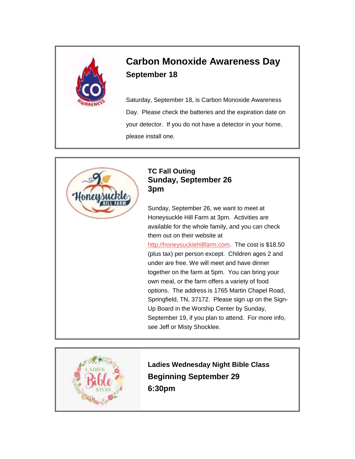

## **Carbon Monoxide Awareness Day September 18**

Saturday, September 18, is Carbon Monoxide Awareness Day. Please check the batteries and the expiration date on your detector. If you do not have a detector in your home, please install one.



#### **TC Fall Outing Sunday, September 26 3pm**

Sunday, September 26, we want to meet at Honeysuckle Hill Farm at 3pm. Activities are available for the whole family, and you can check them out on their website at [http://honeysucklehillfarm.com.](http://honeysucklehillfarm.com/) The cost is \$18.50

(plus tax) per person except. Children ages 2 and under are free. We will meet and have dinner together on the farm at 5pm. You can bring your own meal, or the farm offers a variety of food options. The address is 1765 Martin Chapel Road, Springfield, TN, 37172. Please sign up on the Sign-Up Board in the Worship Center by Sunday, September 19, if you plan to attend. For more info, see Jeff or Misty Shocklee.



**Ladies Wednesday Night Bible Class Beginning September 29 6:30pm**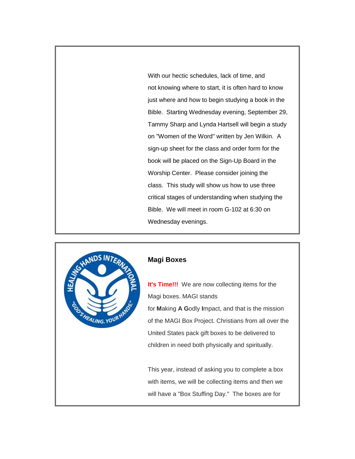With our hectic schedules, lack of time, and not knowing where to start, it is often hard to know just where and how to begin studying a book in the Bible. Starting Wednesday evening, September 29, Tammy Sharp and Lynda Hartsell will begin a study on "Women of the Word" written by Jen Wilkin. A sign-up sheet for the class and order form for the book will be placed on the Sign-Up Board in the Worship Center. Please consider joining the class. This study will show us how to use three critical stages of understanding when studying the Bible. We will meet in room G-102 at 6:30 on Wednesday evenings.



#### **Magi Boxes**

**It's Time!!!** We are now collecting items for the Magi boxes. MAGI stands for **M**aking **A G**odly **I**mpact, and that is the mission of the MAGI Box Project. Christians from all over the United States pack gift boxes to be delivered to children in need both physically and spiritually.

This year, instead of asking you to complete a box with items, we will be collecting items and then we will have a "Box Stuffing Day." The boxes are for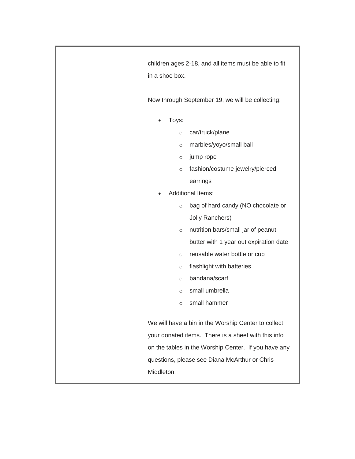children ages 2-18, and all items must be able to fit in a shoe box.

Now through September 19, we will be collecting:

- Toys:
	- o car/truck/plane
	- o marbles/yoyo/small ball
	- o jump rope
	- o fashion/costume jewelry/pierced earrings
- Additional Items:
	- o bag of hard candy (NO chocolate or Jolly Ranchers)
	- o nutrition bars/small jar of peanut butter with 1 year out expiration date
	- o reusable water bottle or cup
	- o flashlight with batteries
	- o bandana/scarf
	- o small umbrella
	- o small hammer

We will have a bin in the Worship Center to collect your donated items. There is a sheet with this info on the tables in the Worship Center. If you have any questions, please see Diana McArthur or Chris Middleton.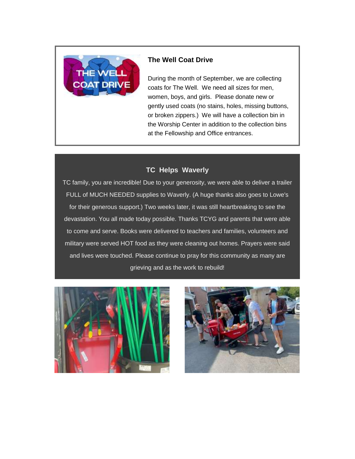

#### **The Well Coat Drive**

During the month of September, we are collecting coats for The Well. We need all sizes for men, women, boys, and girls. Please donate new or gently used coats (no stains, holes, missing buttons, or broken zippers.) We will have a collection bin in the Worship Center in addition to the collection bins at the Fellowship and Office entrances.

#### **TC Helps Waverly**

TC family, you are incredible! Due to your generosity, we were able to deliver a trailer FULL of MUCH NEEDED supplies to Waverly. (A huge thanks also goes to Lowe's for their generous support.) Two weeks later, it was still heartbreaking to see the devastation. You all made today possible. Thanks TCYG and parents that were able to come and serve. Books were delivered to teachers and families, volunteers and military were served HOT food as they were cleaning out homes. Prayers were said and lives were touched. Please continue to pray for this community as many are grieving and as the work to rebuild!



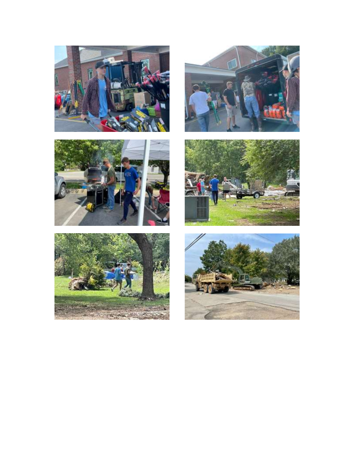









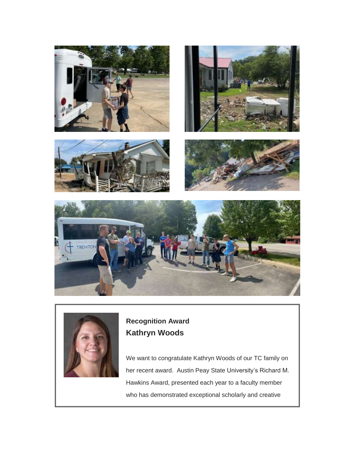



### **Recognition Award Kathryn Woods**

We want to congratulate Kathryn Woods of our TC family on her recent award. Austin Peay State University's Richard M. Hawkins Award, presented each year to a faculty member who has demonstrated exceptional scholarly and creative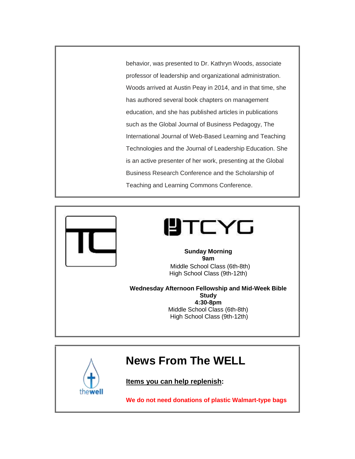behavior, was presented to Dr. Kathryn Woods, associate professor of leadership and organizational administration. Woods arrived at Austin Peay in 2014, and in that time, she has authored several book chapters on management education, and she has published articles in publications such as the Global Journal of Business Pedagogy, The International Journal of Web-Based Learning and Teaching Technologies and the Journal of Leadership Education. She is an active presenter of her work, presenting at the Global Business Research Conference and the Scholarship of Teaching and Learning Commons Conference.



# **News From The WELL**

**Items you can help replenish:**

**We do not need donations of plastic Walmart-type bags**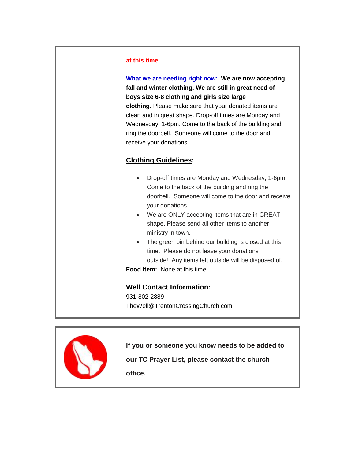#### **at this time.**

**What we are needing right now: We are now accepting fall and winter clothing. We are still in great need of boys size 6-8 clothing and girls size large clothing.** Please make sure that your donated items are clean and in great shape. Drop-off times are Monday and Wednesday, 1-6pm. Come to the back of the building and ring the doorbell. Someone will come to the door and receive your donations.

#### **Clothing Guidelines:**

- Drop-off times are Monday and Wednesday, 1-6pm. Come to the back of the building and ring the doorbell. Someone will come to the door and receive your donations.
- We are ONLY accepting items that are in GREAT shape. Please send all other items to another ministry in town.
- The green bin behind our building is closed at this time. Please do not leave your donations outside! Any items left outside will be disposed of.

**Food Item:** None at this time.

#### **Well Contact Information:**

931-802-2889 TheWell@TrentonCrossingChurch.com



#### **If you or someone you know needs to be added to**

**our TC Prayer List, please contact the church** 

**office.**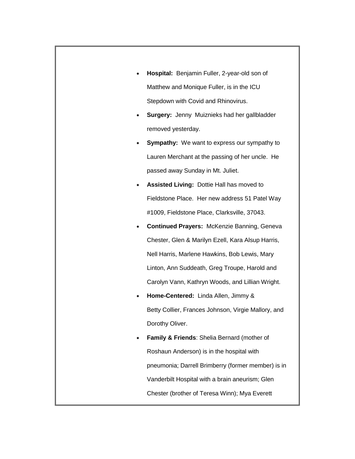**Hospital:** Benjamin Fuller, 2-year-old son of Matthew and Monique Fuller, is in the ICU Stepdown with Covid and Rhinovirus. **Surgery:** Jenny Muiznieks had her gallbladder removed yesterday. **Sympathy:** We want to express our sympathy to Lauren Merchant at the passing of her uncle. He passed away Sunday in Mt. Juliet. **Assisted Living:** Dottie Hall has moved to Fieldstone Place. Her new address 51 Patel Way #1009, Fieldstone Place, Clarksville, 37043. **Continued Prayers:** McKenzie Banning, Geneva Chester, Glen & Marilyn Ezell, Kara Alsup Harris, Nell Harris, Marlene Hawkins, Bob Lewis, Mary Linton, Ann Suddeath, Greg Troupe, Harold and Carolyn Vann, Kathryn Woods, and Lillian Wright. **Home-Centered:** Linda Allen, Jimmy & Betty Collier, Frances Johnson, Virgie Mallory, and Dorothy Oliver. **Family & Friends**: Shelia Bernard (mother of Roshaun Anderson) is in the hospital with pneumonia; Darrell Brimberry (former member) is in Vanderbilt Hospital with a brain aneurism; Glen Chester (brother of Teresa Winn); Mya Everett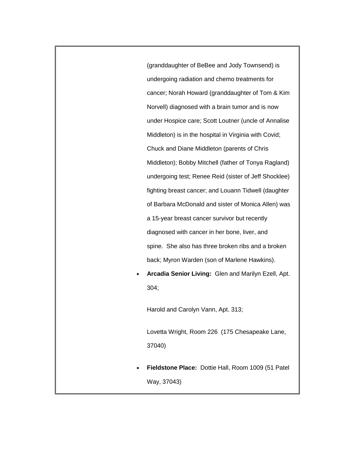(granddaughter of BeBee and Jody Townsend) is undergoing radiation and chemo treatments for cancer; Norah Howard (granddaughter of Tom & Kim Norvell) diagnosed with a brain tumor and is now under Hospice care; Scott Loutner (uncle of Annalise Middleton) is in the hospital in Virginia with Covid; Chuck and Diane Middleton (parents of Chris Middleton); Bobby Mitchell (father of Tonya Ragland) undergoing test; Renee Reid (sister of Jeff Shocklee) fighting breast cancer; and Louann Tidwell (daughter of Barbara McDonald and sister of Monica Allen) was a 15-year breast cancer survivor but recently diagnosed with cancer in her bone, liver, and spine. She also has three broken ribs and a broken back; Myron Warden (son of Marlene Hawkins).

 **Arcadia Senior Living:** Glen and Marilyn Ezell, Apt. 304;

Harold and Carolyn Vann, Apt. 313;

Lovetta Wright, Room 226 (175 Chesapeake Lane, 37040)

 **Fieldstone Place:** Dottie Hall, Room 1009 (51 Patel Way, 37043)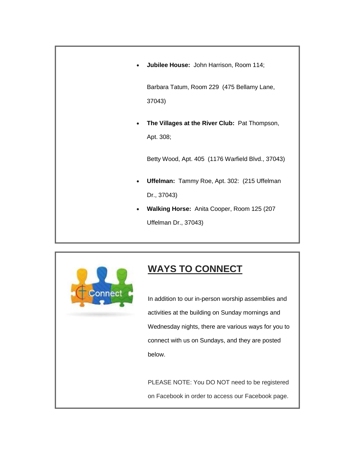**Jubilee House:** John Harrison, Room 114;

Barbara Tatum, Room 229 (475 Bellamy Lane, 37043)

 **The Villages at the River Club:** Pat Thompson, Apt. 308;

Betty Wood, Apt. 405 (1176 Warfield Blvd., 37043)

- **Uffelman:** Tammy Roe, Apt. 302: (215 Uffelman Dr., 37043)
- **Walking Horse:** Anita Cooper, Room 125 (207 Uffelman Dr., 37043)



## **WAYS TO CONNECT**

In addition to our in-person worship assemblies and activities at the building on Sunday mornings and Wednesday nights, there are various ways for you to connect with us on Sundays, and they are posted below.

PLEASE NOTE: You DO NOT need to be registered on Facebook in order to access our Facebook page.